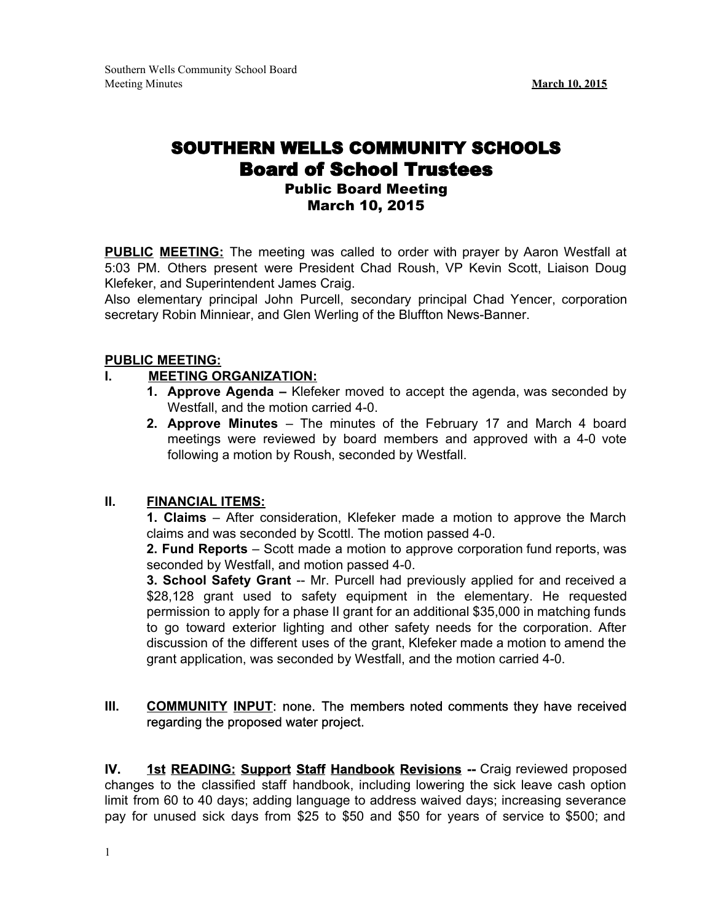# SOUTHERN WELLS COMMUNITY SCHOOLS Board of School Trustees Public Board Meeting March 10, 2015

**PUBLIC MEETING:** The meeting was called to order with prayer by Aaron Westfall at 5:03 PM. Others present were President Chad Roush, VP Kevin Scott, Liaison Doug Klefeker, and Superintendent James Craig.

Also elementary principal John Purcell, secondary principal Chad Yencer, corporation secretary Robin Minniear, and Glen Werling of the Bluffton News-Banner.

# **PUBLIC MEETING:**

# **I. MEETING ORGANIZATION:**

- **1. Approve Agenda –** Klefeker moved to accept the agenda, was seconded by Westfall, and the motion carried 4-0.
- **2. Approve Minutes** The minutes of the February 17 and March 4 board meetings were reviewed by board members and approved with a 4-0 vote following a motion by Roush, seconded by Westfall.

# **II. FINANCIAL ITEMS:**

**1. Claims** – After consideration, Klefeker made a motion to approve the March claims and was seconded by Scottl. The motion passed 4-0.

**2. Fund Reports** – Scott made a motion to approve corporation fund reports, was seconded by Westfall, and motion passed 4-0.

**3. School Safety Grant** -- Mr. Purcell had previously applied for and received a \$28,128 grant used to safety equipment in the elementary. He requested permission to apply for a phase II grant for an additional \$35,000 in matching funds to go toward exterior lighting and other safety needs for the corporation. After discussion of the different uses of the grant, Klefeker made a motion to amend the grant application, was seconded by Westfall, and the motion carried 4-0.

# **III. COMMUNITY INPUT**: none. The members noted comments they have received regarding the proposed water project.

**IV. 1st READING: Support Staff Handbook Revisions** Craig reviewed proposed changes to the classified staff handbook, including lowering the sick leave cash option limit from 60 to 40 days; adding language to address waived days; increasing severance pay for unused sick days from \$25 to \$50 and \$50 for years of service to \$500; and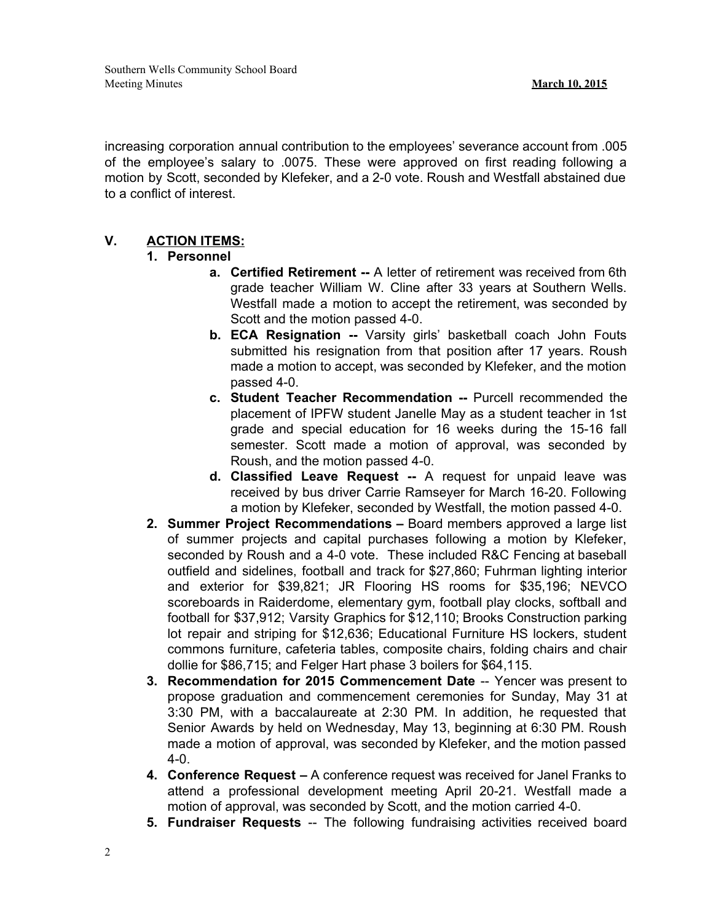increasing corporation annual contribution to the employees' severance account from .005 of the employee's salary to .0075. These were approved on first reading following a motion by Scott, seconded by Klefeker, and a 2-0 vote. Roush and Westfall abstained due to a conflict of interest.

# **V. ACTION ITEMS:**

# **1. Personnel**

- **a. Certified Retirement** -- A letter of retirement was received from 6th grade teacher William W. Cline after 33 years at Southern Wells. Westfall made a motion to accept the retirement, was seconded by Scott and the motion passed 4-0.
- **b. ECA Resignation --** Varsity girls' basketball coach John Fouts submitted his resignation from that position after 17 years. Roush made a motion to accept, was seconded by Klefeker, and the motion passed 4-0.
- **c. Student Teacher Recommendation** -- Purcell recommended the placement of IPFW student Janelle May as a student teacher in 1st grade and special education for 16 weeks during the 15-16 fall semester. Scott made a motion of approval, was seconded by Roush, and the motion passed 4-0.
- **d. Classified Leave Request** A request for unpaid leave was received by bus driver Carrie Ramseyer for March 16-20. Following a motion by Klefeker, seconded by Westfall, the motion passed 4-0.
- **2. Summer Project Recommendations –** Board members approved a large list of summer projects and capital purchases following a motion by Klefeker, seconded by Roush and a 4-0 vote. These included R&C Fencing at baseball outfield and sidelines, football and track for \$27,860; Fuhrman lighting interior and exterior for \$39,821; JR Flooring HS rooms for \$35,196; NEVCO scoreboards in Raiderdome, elementary gym, football play clocks, softball and football for \$37,912; Varsity Graphics for \$12,110; Brooks Construction parking lot repair and striping for \$12,636; Educational Furniture HS lockers, student commons furniture, cafeteria tables, composite chairs, folding chairs and chair dollie for \$86,715; and Felger Hart phase 3 boilers for \$64,115.
- **3. Recommendation for 2015 Commencement Date** Yencer was present to propose graduation and commencement ceremonies for Sunday, May 31 at 3:30 PM, with a baccalaureate at 2:30 PM. In addition, he requested that Senior Awards by held on Wednesday, May 13, beginning at 6:30 PM. Roush made a motion of approval, was seconded by Klefeker, and the motion passed  $4 - 0$ .
- **4. Conference Request –** A conference request was received for Janel Franks to attend a professional development meeting April 2021. Westfall made a motion of approval, was seconded by Scott, and the motion carried 4-0.
- **5. Fundraiser Requests** -- The following fundraising activities received board